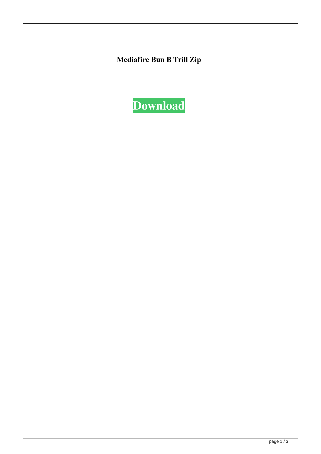**Mediafire Bun B Trill Zip**

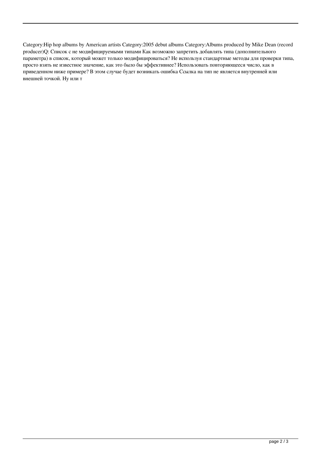Category:Hip hop albums by American artists Category:2005 debut albums Category:Albums produced by Mike Dean (record producer)Q: Список с не модифицируемыми типами Как возможно запретить добавлять типа (дополнительного параметра) в список, который может только модифицироваться? Не используя стандартные методы для проверки типа, просто взять не известное значение, как это было бы эффективнее? Использовать повторяющееся число, как в приведенном ниже примере? В этом случае будет возникать ошибка Ссылка на тип не является внутренней или внешней точкой. Ну или т